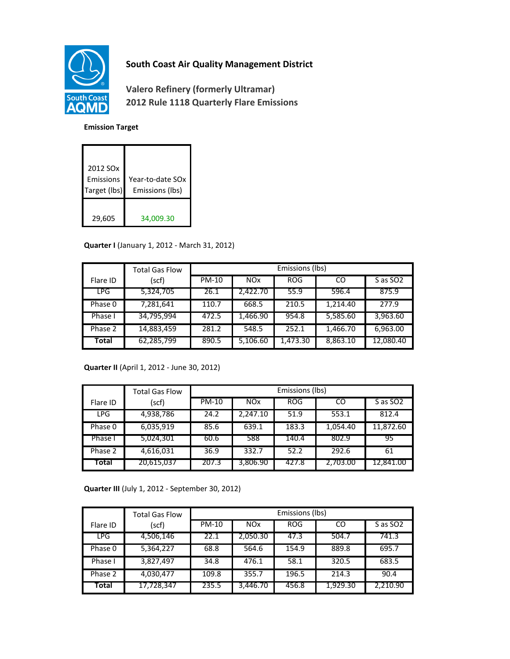

# **South Coast Air Quality Management District**

**Valero Refinery (formerly Ultramar) 2012 Rule 1118 Quarterly Flare Emissions**

#### **Emission Target**

| 2012 SO <sub>x</sub><br>Emissions<br>Target (lbs) | Year-to-date SOx<br>Emissions (lbs) |
|---------------------------------------------------|-------------------------------------|
| 29,605                                            | 34,009.30                           |

### **Quarter I** (January 1, 2012 - March 31, 2012)

|            | <b>Total Gas Flow</b> | Emissions (lbs) |                 |            |          |                      |
|------------|-----------------------|-----------------|-----------------|------------|----------|----------------------|
| Flare ID   | (scf)                 | PM-10           | NO <sub>x</sub> | <b>ROG</b> | CO       | S as SO <sub>2</sub> |
| <b>LPG</b> | 5,324,705             | 26.1            | 2.422.70        | 55.9       | 596.4    | 875.9                |
| Phase 0    | 7,281,641             | 110.7           | 668.5           | 210.5      | 1,214.40 | 277.9                |
| Phase I    | 34,795,994            | 472.5           | 1,466.90        | 954.8      | 5,585.60 | 3,963.60             |
| Phase 2    | 14,883,459            | 281.2           | 548.5           | 252.1      | 1,466.70 | 6,963.00             |
| Total      | 62,285,799            | 890.5           | 5,106.60        | 1,473.30   | 8,863.10 | 12,080.40            |

### **Quarter II** (April 1, 2012 - June 30, 2012)

|            | <b>Total Gas Flow</b> | Emissions (lbs) |                       |            |          |                      |
|------------|-----------------------|-----------------|-----------------------|------------|----------|----------------------|
| Flare ID   | (scf)                 | <b>PM-10</b>    | <b>NO<sub>x</sub></b> | <b>ROG</b> | CO       | S as SO <sub>2</sub> |
| <b>LPG</b> | 4,938,786             | 24.2            | 2.247.10              | 51.9       | 553.1    | 812.4                |
| Phase 0    | 6,035,919             | 85.6            | 639.1                 | 183.3      | 1,054.40 | 11,872.60            |
| Phase I    | 5,024,301             | 60.6            | 588                   | 140.4      | 802.9    | 95                   |
| Phase 2    | 4,616,031             | 36.9            | 332.7                 | 52.2       | 292.6    | 61                   |
| Total      | 20,615,037            | 207.3           | 3,806.90              | 427.8      | 2,703.00 | 12,841.00            |

**Quarter III** (July 1, 2012 - September 30, 2012)

|            | <b>Total Gas Flow</b> | Emissions (lbs) |            |            |          |                      |
|------------|-----------------------|-----------------|------------|------------|----------|----------------------|
| Flare ID   | (scf)                 | <b>PM-10</b>    | <b>NOx</b> | <b>ROG</b> | CO       | S as SO <sub>2</sub> |
| <b>LPG</b> | 4,506,146             | 22.1            | 2,050.30   | 47.3       | 504.7    | 741.3                |
| Phase 0    | 5,364,227             | 68.8            | 564.6      | 154.9      | 889.8    | 695.7                |
| Phase I    | 3,827,497             | 34.8            | 476.1      | 58.1       | 320.5    | 683.5                |
| Phase 2    | 4,030,477             | 109.8           | 355.7      | 196.5      | 214.3    | 90.4                 |
| Total      | 17,728,347            | 235.5           | 3,446.70   | 456.8      | 1.929.30 | 2.210.90             |